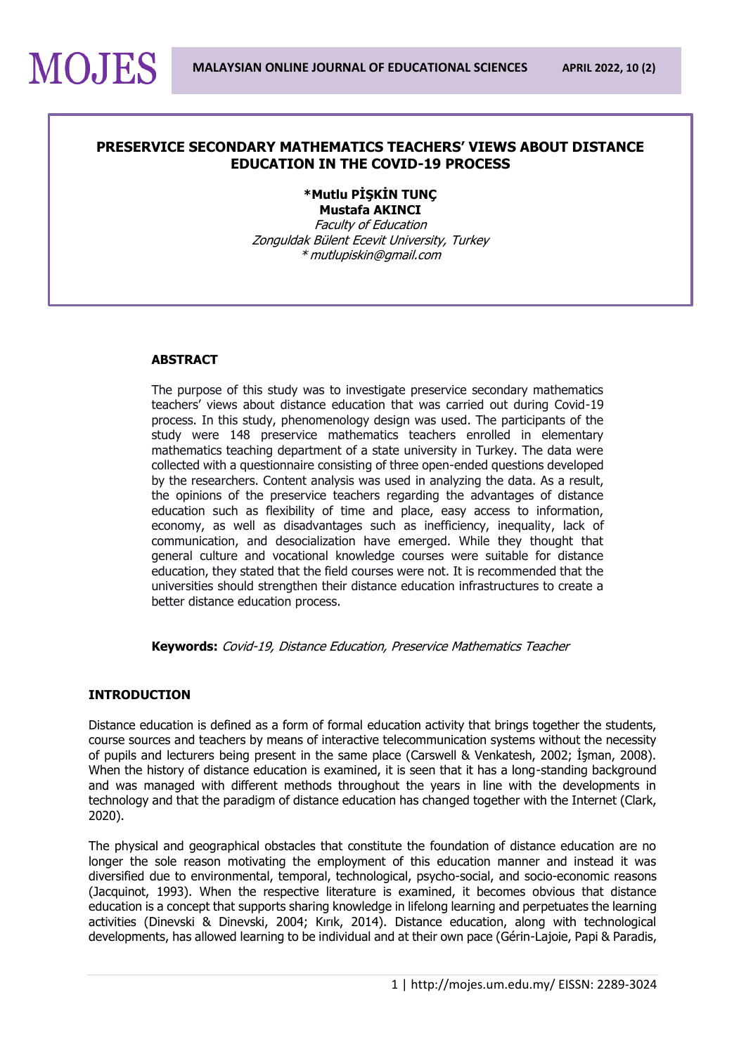## **PRESERVICE SECONDARY MATHEMATICS TEACHERS' VIEWS ABOUT DISTANCE EDUCATION IN THE COVID-19 PROCESS**

# **\*Mutlu PİŞKİN TUNÇ Mustafa AKINCI**

Faculty of Education Zonguldak Bülent Ecevit University, Turkey \* mutlupiskin@gmail.com

## **ABSTRACT**

**MOJES** 

The purpose of this study was to investigate preservice secondary mathematics teachers' views about distance education that was carried out during Covid-19 process. In this study, phenomenology design was used. The participants of the study were 148 preservice mathematics teachers enrolled in elementary mathematics teaching department of a state university in Turkey. The data were collected with a questionnaire consisting of three open-ended questions developed by the researchers. Content analysis was used in analyzing the data. As a result, the opinions of the preservice teachers regarding the advantages of distance education such as flexibility of time and place, easy access to information, economy, as well as disadvantages such as inefficiency, inequality, lack of communication, and desocialization have emerged. While they thought that general culture and vocational knowledge courses were suitable for distance education, they stated that the field courses were not. It is recommended that the universities should strengthen their distance education infrastructures to create a better distance education process.

**Keywords:** Covid-19, Distance Education, Preservice Mathematics Teacher

## **INTRODUCTION**

Distance education is defined as a form of formal education activity that brings together the students, course sources and teachers by means of interactive telecommunication systems without the necessity of pupils and lecturers being present in the same place (Carswell & Venkatesh, 2002; İşman, 2008). When the history of distance education is examined, it is seen that it has a long-standing background and was managed with different methods throughout the years in line with the developments in technology and that the paradigm of distance education has changed together with the Internet (Clark, 2020).

The physical and geographical obstacles that constitute the foundation of distance education are no longer the sole reason motivating the employment of this education manner and instead it was diversified due to environmental, temporal, technological, psycho-social, and socio-economic reasons (Jacquinot, 1993). When the respective literature is examined, it becomes obvious that distance education is a concept that supports sharing knowledge in lifelong learning and perpetuates the learning activities (Dinevski & Dinevski, 2004; Kırık, 2014). Distance education, along with technological developments, has allowed learning to be individual and at their own pace (Gérin-Lajoie, Papi & Paradis,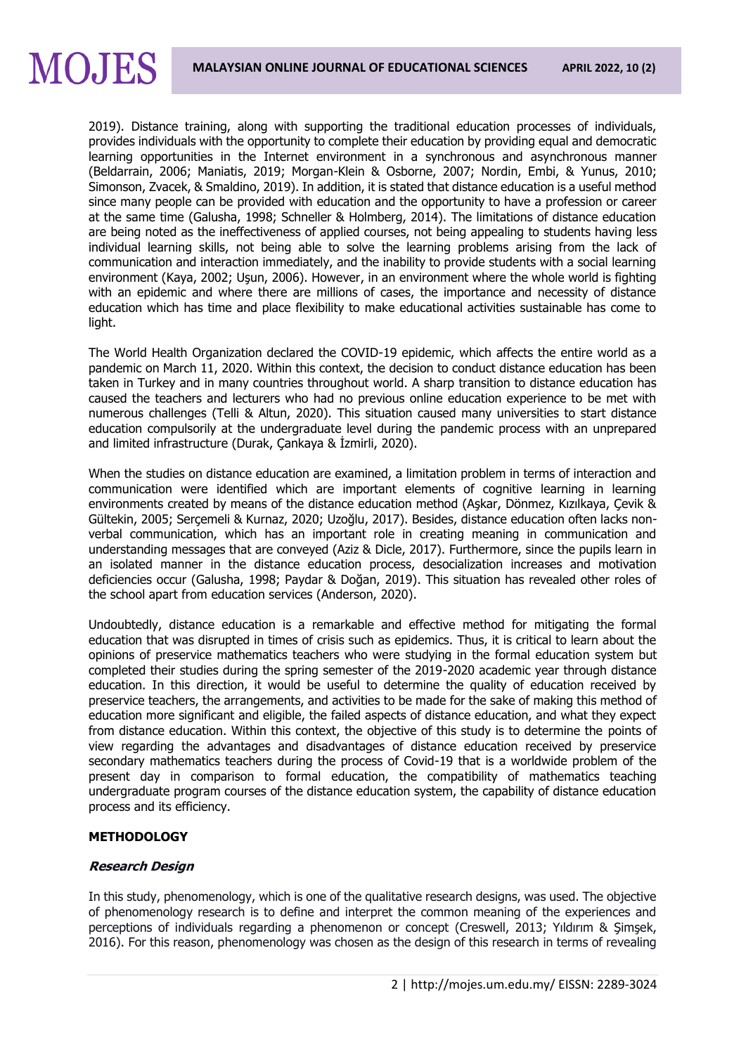

2019). Distance training, along with supporting the traditional education processes of individuals, provides individuals with the opportunity to complete their education by providing equal and democratic learning opportunities in the Internet environment in a synchronous and asynchronous manner (Beldarrain, 2006; Maniatis, 2019; Morgan-Klein & Osborne, 2007; Nordin, Embi, & Yunus, 2010; Simonson, Zvacek, & Smaldino, 2019). In addition, it is stated that distance education is a useful method since many people can be provided with education and the opportunity to have a profession or career at the same time (Galusha, 1998; Schneller & Holmberg, 2014). The limitations of distance education are being noted as the ineffectiveness of applied courses, not being appealing to students having less individual learning skills, not being able to solve the learning problems arising from the lack of communication and interaction immediately, and the inability to provide students with a social learning environment (Kaya, 2002; Uşun, 2006). However, in an environment where the whole world is fighting with an epidemic and where there are millions of cases, the importance and necessity of distance education which has time and place flexibility to make educational activities sustainable has come to light.

The World Health Organization declared the COVID-19 epidemic, which affects the entire world as a pandemic on March 11, 2020. Within this context, the decision to conduct distance education has been taken in Turkey and in many countries throughout world. A sharp transition to distance education has caused the teachers and lecturers who had no previous online education experience to be met with numerous challenges (Telli & Altun, 2020). This situation caused many universities to start distance education compulsorily at the undergraduate level during the pandemic process with an unprepared and limited infrastructure (Durak, Çankaya & İzmirli, 2020).

When the studies on distance education are examined, a limitation problem in terms of interaction and communication were identified which are important elements of cognitive learning in learning environments created by means of the distance education method (Aşkar, Dönmez, Kızılkaya, Çevik & Gültekin, 2005; Serçemeli & Kurnaz, 2020; Uzoğlu, 2017). Besides, distance education often lacks nonverbal communication, which has an important role in creating meaning in communication and understanding messages that are conveyed (Aziz & Dicle, 2017). Furthermore, since the pupils learn in an isolated manner in the distance education process, desocialization increases and motivation deficiencies occur (Galusha, 1998; Paydar & Doğan, 2019). This situation has revealed other roles of the school apart from education services (Anderson, 2020).

Undoubtedly, distance education is a remarkable and effective method for mitigating the formal education that was disrupted in times of crisis such as epidemics. Thus, it is critical to learn about the opinions of preservice mathematics teachers who were studying in the formal education system but completed their studies during the spring semester of the 2019-2020 academic year through distance education. In this direction, it would be useful to determine the quality of education received by preservice teachers, the arrangements, and activities to be made for the sake of making this method of education more significant and eligible, the failed aspects of distance education, and what they expect from distance education. Within this context, the objective of this study is to determine the points of view regarding the advantages and disadvantages of distance education received by preservice secondary mathematics teachers during the process of Covid-19 that is a worldwide problem of the present day in comparison to formal education, the compatibility of mathematics teaching undergraduate program courses of the distance education system, the capability of distance education process and its efficiency.

## **METHODOLOGY**

## **Research Design**

In this study, phenomenology, which is one of the qualitative research designs, was used. The objective of phenomenology research is to define and interpret the common meaning of the experiences and perceptions of individuals regarding a phenomenon or concept (Creswell, 2013; Yıldırım & Şimşek, 2016). For this reason, phenomenology was chosen as the design of this research in terms of revealing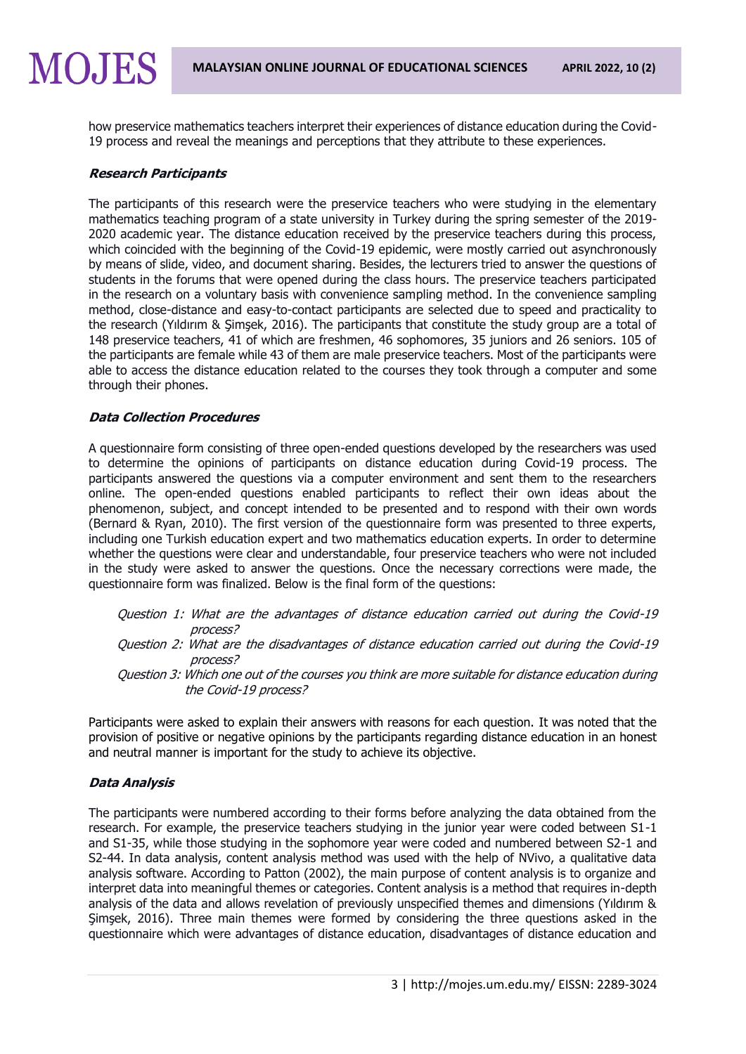how preservice mathematics teachers interpret their experiences of distance education during the Covid-19 process and reveal the meanings and perceptions that they attribute to these experiences.

## **Research Participants**

**MOJES** 

The participants of this research were the preservice teachers who were studying in the elementary mathematics teaching program of a state university in Turkey during the spring semester of the 2019- 2020 academic year. The distance education received by the preservice teachers during this process, which coincided with the beginning of the Covid-19 epidemic, were mostly carried out asynchronously by means of slide, video, and document sharing. Besides, the lecturers tried to answer the questions of students in the forums that were opened during the class hours. The preservice teachers participated in the research on a voluntary basis with convenience sampling method. In the convenience sampling method, close-distance and easy-to-contact participants are selected due to speed and practicality to the research (Yıldırım & Şimşek, 2016). The participants that constitute the study group are a total of 148 preservice teachers, 41 of which are freshmen, 46 sophomores, 35 juniors and 26 seniors. 105 of the participants are female while 43 of them are male preservice teachers. Most of the participants were able to access the distance education related to the courses they took through a computer and some through their phones.

## **Data Collection Procedures**

A questionnaire form consisting of three open-ended questions developed by the researchers was used to determine the opinions of participants on distance education during Covid-19 process. The participants answered the questions via a computer environment and sent them to the researchers online. The open-ended questions enabled participants to reflect their own ideas about the phenomenon, subject, and concept intended to be presented and to respond with their own words (Bernard & Ryan, 2010). The first version of the questionnaire form was presented to three experts, including one Turkish education expert and two mathematics education experts. In order to determine whether the questions were clear and understandable, four preservice teachers who were not included in the study were asked to answer the questions. Once the necessary corrections were made, the questionnaire form was finalized. Below is the final form of the questions:

- Question 1: What are the advantages of distance education carried out during the Covid-19 process?
- Question 2: What are the disadvantages of distance education carried out during the Covid-19 process?
- Question 3: Which one out of the courses you think are more suitable for distance education during the Covid-19 process?

Participants were asked to explain their answers with reasons for each question. It was noted that the provision of positive or negative opinions by the participants regarding distance education in an honest and neutral manner is important for the study to achieve its objective.

## **Data Analysis**

The participants were numbered according to their forms before analyzing the data obtained from the research. For example, the preservice teachers studying in the junior year were coded between S1-1 and S1-35, while those studying in the sophomore year were coded and numbered between S2-1 and S2-44. In data analysis, content analysis method was used with the help of NVivo, a qualitative data analysis software. According to Patton (2002), the main purpose of content analysis is to organize and interpret data into meaningful themes or categories. Content analysis is a method that requires in-depth analysis of the data and allows revelation of previously unspecified themes and dimensions (Yıldırım & Şimşek, 2016). Three main themes were formed by considering the three questions asked in the questionnaire which were advantages of distance education, disadvantages of distance education and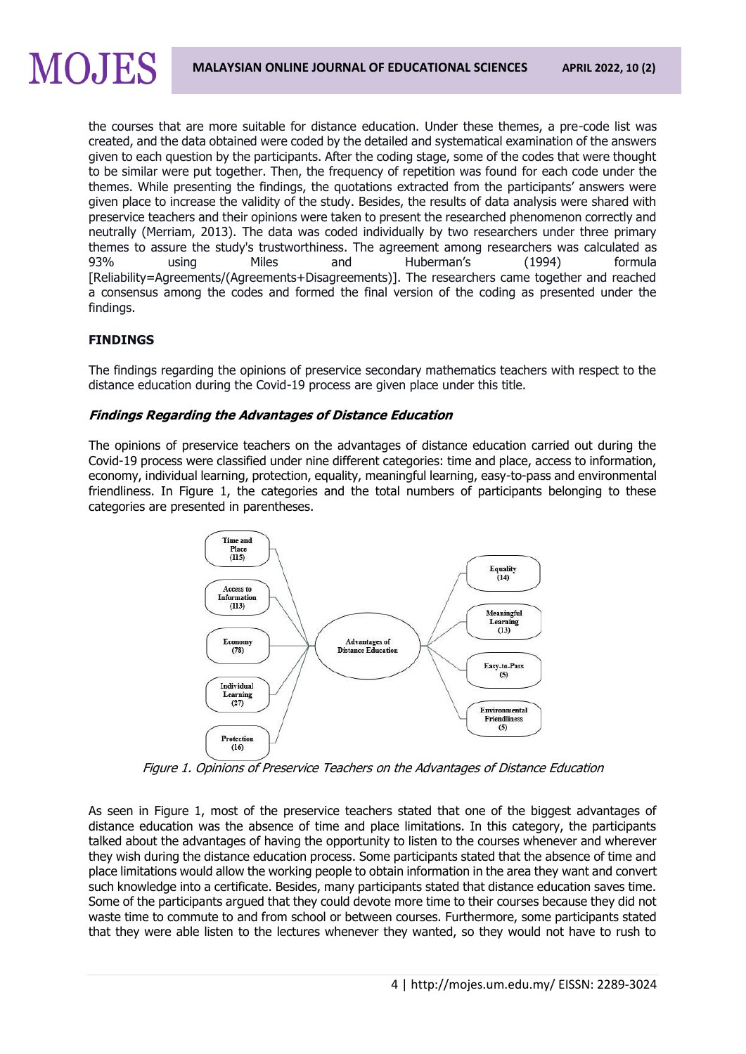

## **FINDINGS**

**MOJES** 

The findings regarding the opinions of preservice secondary mathematics teachers with respect to the distance education during the Covid-19 process are given place under this title.

## **Findings Regarding the Advantages of Distance Education**

The opinions of preservice teachers on the advantages of distance education carried out during the Covid-19 process were classified under nine different categories: time and place, access to information, economy, individual learning, protection, equality, meaningful learning, easy-to-pass and environmental friendliness. In Figure 1, the categories and the total numbers of participants belonging to these categories are presented in parentheses.



Figure 1. Opinions of Preservice Teachers on the Advantages of Distance Education

As seen in Figure 1, most of the preservice teachers stated that one of the biggest advantages of distance education was the absence of time and place limitations. In this category, the participants talked about the advantages of having the opportunity to listen to the courses whenever and wherever they wish during the distance education process. Some participants stated that the absence of time and place limitations would allow the working people to obtain information in the area they want and convert such knowledge into a certificate. Besides, many participants stated that distance education saves time. Some of the participants argued that they could devote more time to their courses because they did not waste time to commute to and from school or between courses. Furthermore, some participants stated that they were able listen to the lectures whenever they wanted, so they would not have to rush to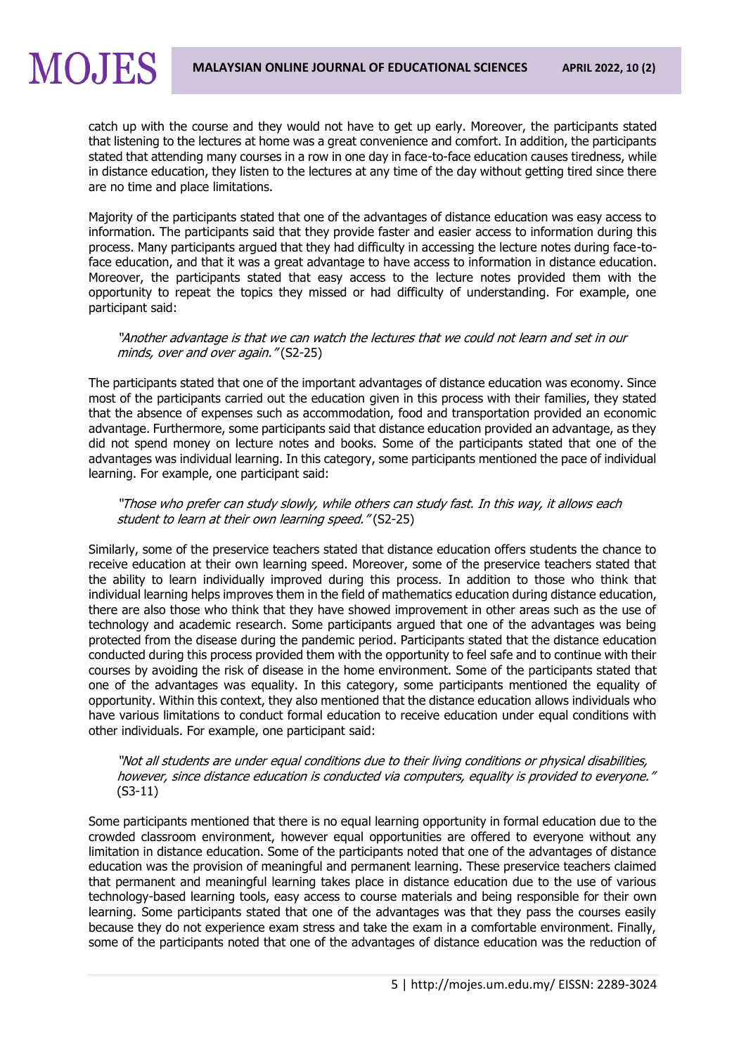catch up with the course and they would not have to get up early. Moreover, the participants stated that listening to the lectures at home was a great convenience and comfort. In addition, the participants stated that attending many courses in a row in one day in face-to-face education causes tiredness, while in distance education, they listen to the lectures at any time of the day without getting tired since there

are no time and place limitations.

**MOJES** 

Majority of the participants stated that one of the advantages of distance education was easy access to information. The participants said that they provide faster and easier access to information during this process. Many participants argued that they had difficulty in accessing the lecture notes during face-toface education, and that it was a great advantage to have access to information in distance education. Moreover, the participants stated that easy access to the lecture notes provided them with the opportunity to repeat the topics they missed or had difficulty of understanding. For example, one participant said:

"Another advantage is that we can watch the lectures that we could not learn and set in our minds, over and over again." (S2-25)

The participants stated that one of the important advantages of distance education was economy. Since most of the participants carried out the education given in this process with their families, they stated that the absence of expenses such as accommodation, food and transportation provided an economic advantage. Furthermore, some participants said that distance education provided an advantage, as they did not spend money on lecture notes and books. Some of the participants stated that one of the advantages was individual learning. In this category, some participants mentioned the pace of individual learning. For example, one participant said:

"Those who prefer can study slowly, while others can study fast. In this way, it allows each student to learn at their own learning speed." (S2-25)

Similarly, some of the preservice teachers stated that distance education offers students the chance to receive education at their own learning speed. Moreover, some of the preservice teachers stated that the ability to learn individually improved during this process. In addition to those who think that individual learning helps improves them in the field of mathematics education during distance education, there are also those who think that they have showed improvement in other areas such as the use of technology and academic research. Some participants argued that one of the advantages was being protected from the disease during the pandemic period. Participants stated that the distance education conducted during this process provided them with the opportunity to feel safe and to continue with their courses by avoiding the risk of disease in the home environment. Some of the participants stated that one of the advantages was equality. In this category, some participants mentioned the equality of opportunity. Within this context, they also mentioned that the distance education allows individuals who have various limitations to conduct formal education to receive education under equal conditions with other individuals. For example, one participant said:

"Not all students are under equal conditions due to their living conditions or physical disabilities, however, since distance education is conducted via computers, equality is provided to everyone." (S3-11)

Some participants mentioned that there is no equal learning opportunity in formal education due to the crowded classroom environment, however equal opportunities are offered to everyone without any limitation in distance education. Some of the participants noted that one of the advantages of distance education was the provision of meaningful and permanent learning. These preservice teachers claimed that permanent and meaningful learning takes place in distance education due to the use of various technology-based learning tools, easy access to course materials and being responsible for their own learning. Some participants stated that one of the advantages was that they pass the courses easily because they do not experience exam stress and take the exam in a comfortable environment. Finally, some of the participants noted that one of the advantages of distance education was the reduction of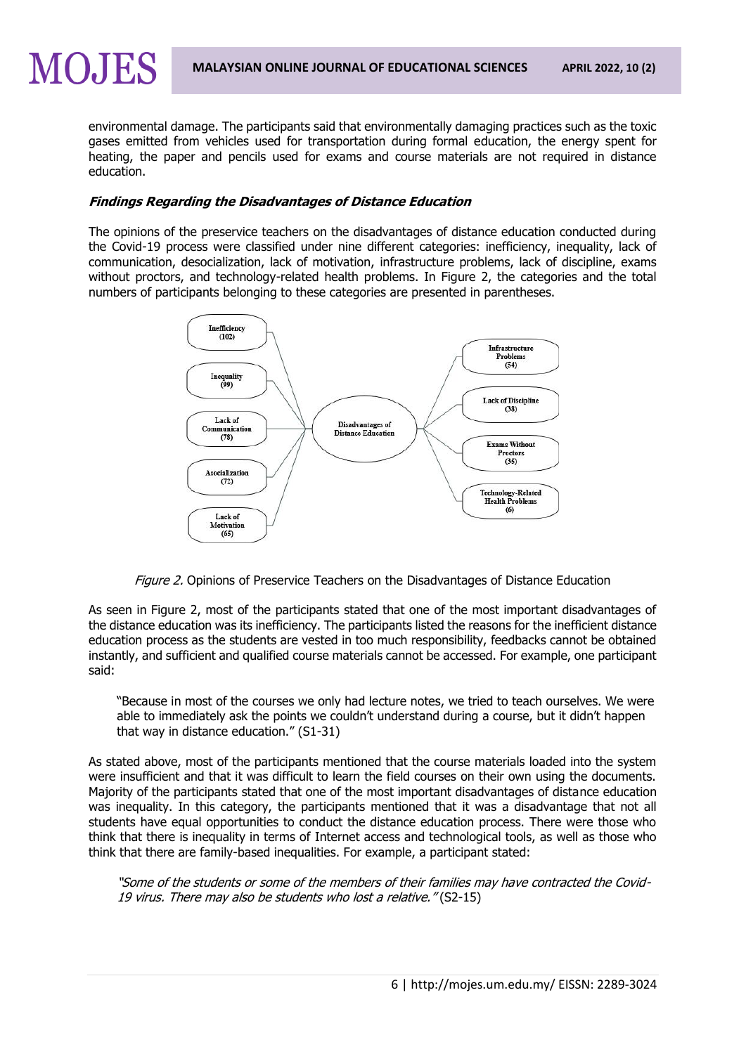environmental damage. The participants said that environmentally damaging practices such as the toxic gases emitted from vehicles used for transportation during formal education, the energy spent for heating, the paper and pencils used for exams and course materials are not required in distance education.

## **Findings Regarding the Disadvantages of Distance Education**

**MOJES** 

The opinions of the preservice teachers on the disadvantages of distance education conducted during the Covid-19 process were classified under nine different categories: inefficiency, inequality, lack of communication, desocialization, lack of motivation, infrastructure problems, lack of discipline, exams without proctors, and technology-related health problems. In Figure 2, the categories and the total numbers of participants belonging to these categories are presented in parentheses.



Figure 2. Opinions of Preservice Teachers on the Disadvantages of Distance Education

As seen in Figure 2, most of the participants stated that one of the most important disadvantages of the distance education was its inefficiency. The participants listed the reasons for the inefficient distance education process as the students are vested in too much responsibility, feedbacks cannot be obtained instantly, and sufficient and qualified course materials cannot be accessed. For example, one participant said:

"Because in most of the courses we only had lecture notes, we tried to teach ourselves. We were able to immediately ask the points we couldn't understand during a course, but it didn't happen that way in distance education." (S1-31)

As stated above, most of the participants mentioned that the course materials loaded into the system were insufficient and that it was difficult to learn the field courses on their own using the documents. Majority of the participants stated that one of the most important disadvantages of distance education was inequality. In this category, the participants mentioned that it was a disadvantage that not all students have equal opportunities to conduct the distance education process. There were those who think that there is inequality in terms of Internet access and technological tools, as well as those who think that there are family-based inequalities. For example, a participant stated:

"Some of the students or some of the members of their families may have contracted the Covid-19 virus. There may also be students who lost a relative." (S2-15)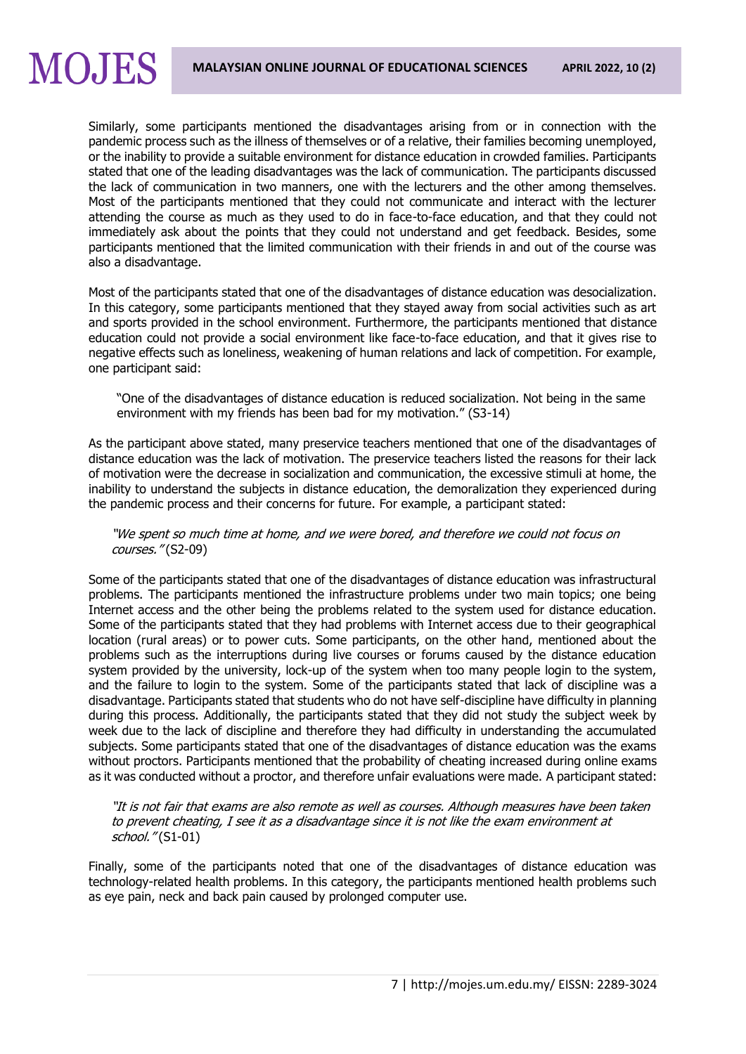# **MOJES**

Similarly, some participants mentioned the disadvantages arising from or in connection with the pandemic process such as the illness of themselves or of a relative, their families becoming unemployed, or the inability to provide a suitable environment for distance education in crowded families. Participants stated that one of the leading disadvantages was the lack of communication. The participants discussed the lack of communication in two manners, one with the lecturers and the other among themselves. Most of the participants mentioned that they could not communicate and interact with the lecturer attending the course as much as they used to do in face-to-face education, and that they could not immediately ask about the points that they could not understand and get feedback. Besides, some participants mentioned that the limited communication with their friends in and out of the course was also a disadvantage.

Most of the participants stated that one of the disadvantages of distance education was desocialization. In this category, some participants mentioned that they stayed away from social activities such as art and sports provided in the school environment. Furthermore, the participants mentioned that distance education could not provide a social environment like face-to-face education, and that it gives rise to negative effects such as loneliness, weakening of human relations and lack of competition. For example, one participant said:

"One of the disadvantages of distance education is reduced socialization. Not being in the same environment with my friends has been bad for my motivation." (S3-14)

As the participant above stated, many preservice teachers mentioned that one of the disadvantages of distance education was the lack of motivation. The preservice teachers listed the reasons for their lack of motivation were the decrease in socialization and communication, the excessive stimuli at home, the inability to understand the subjects in distance education, the demoralization they experienced during the pandemic process and their concerns for future. For example, a participant stated:

"We spent so much time at home, and we were bored, and therefore we could not focus on courses." (S2-09)

Some of the participants stated that one of the disadvantages of distance education was infrastructural problems. The participants mentioned the infrastructure problems under two main topics; one being Internet access and the other being the problems related to the system used for distance education. Some of the participants stated that they had problems with Internet access due to their geographical location (rural areas) or to power cuts. Some participants, on the other hand, mentioned about the problems such as the interruptions during live courses or forums caused by the distance education system provided by the university, lock-up of the system when too many people login to the system, and the failure to login to the system. Some of the participants stated that lack of discipline was a disadvantage. Participants stated that students who do not have self-discipline have difficulty in planning during this process. Additionally, the participants stated that they did not study the subject week by week due to the lack of discipline and therefore they had difficulty in understanding the accumulated subjects. Some participants stated that one of the disadvantages of distance education was the exams without proctors. Participants mentioned that the probability of cheating increased during online exams as it was conducted without a proctor, and therefore unfair evaluations were made. A participant stated:

"It is not fair that exams are also remote as well as courses. Although measures have been taken to prevent cheating, I see it as a disadvantage since it is not like the exam environment at school." (S1-01)

Finally, some of the participants noted that one of the disadvantages of distance education was technology-related health problems. In this category, the participants mentioned health problems such as eye pain, neck and back pain caused by prolonged computer use.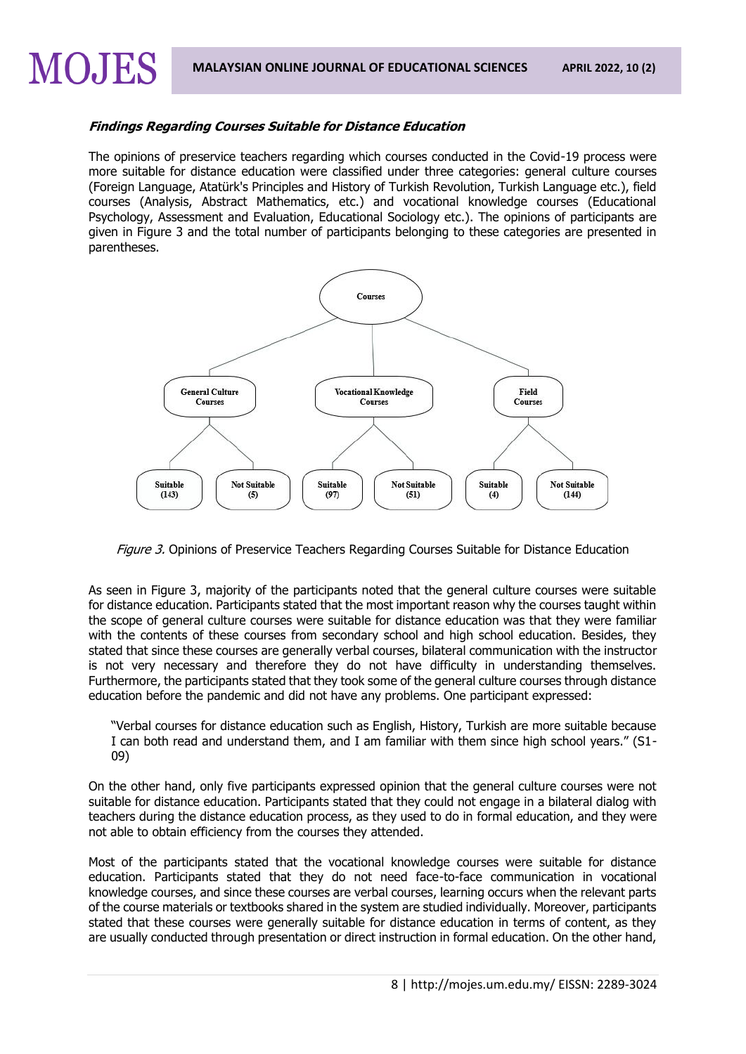## **Findings Regarding Courses Suitable for Distance Education**

MOJES

The opinions of preservice teachers regarding which courses conducted in the Covid-19 process were more suitable for distance education were classified under three categories: general culture courses (Foreign Language, Atatürk's Principles and History of Turkish Revolution, Turkish Language etc.), field courses (Analysis, Abstract Mathematics, etc.) and vocational knowledge courses (Educational Psychology, Assessment and Evaluation, Educational Sociology etc.). The opinions of participants are given in Figure 3 and the total number of participants belonging to these categories are presented in parentheses.



Figure 3. Opinions of Preservice Teachers Regarding Courses Suitable for Distance Education

As seen in Figure 3, majority of the participants noted that the general culture courses were suitable for distance education. Participants stated that the most important reason why the courses taught within the scope of general culture courses were suitable for distance education was that they were familiar with the contents of these courses from secondary school and high school education. Besides, they stated that since these courses are generally verbal courses, bilateral communication with the instructor is not very necessary and therefore they do not have difficulty in understanding themselves. Furthermore, the participants stated that they took some of the general culture courses through distance education before the pandemic and did not have any problems. One participant expressed:

"Verbal courses for distance education such as English, History, Turkish are more suitable because I can both read and understand them, and I am familiar with them since high school years." (S1- 09)

On the other hand, only five participants expressed opinion that the general culture courses were not suitable for distance education. Participants stated that they could not engage in a bilateral dialog with teachers during the distance education process, as they used to do in formal education, and they were not able to obtain efficiency from the courses they attended.

Most of the participants stated that the vocational knowledge courses were suitable for distance education. Participants stated that they do not need face-to-face communication in vocational knowledge courses, and since these courses are verbal courses, learning occurs when the relevant parts of the course materials or textbooks shared in the system are studied individually. Moreover, participants stated that these courses were generally suitable for distance education in terms of content, as they are usually conducted through presentation or direct instruction in formal education. On the other hand,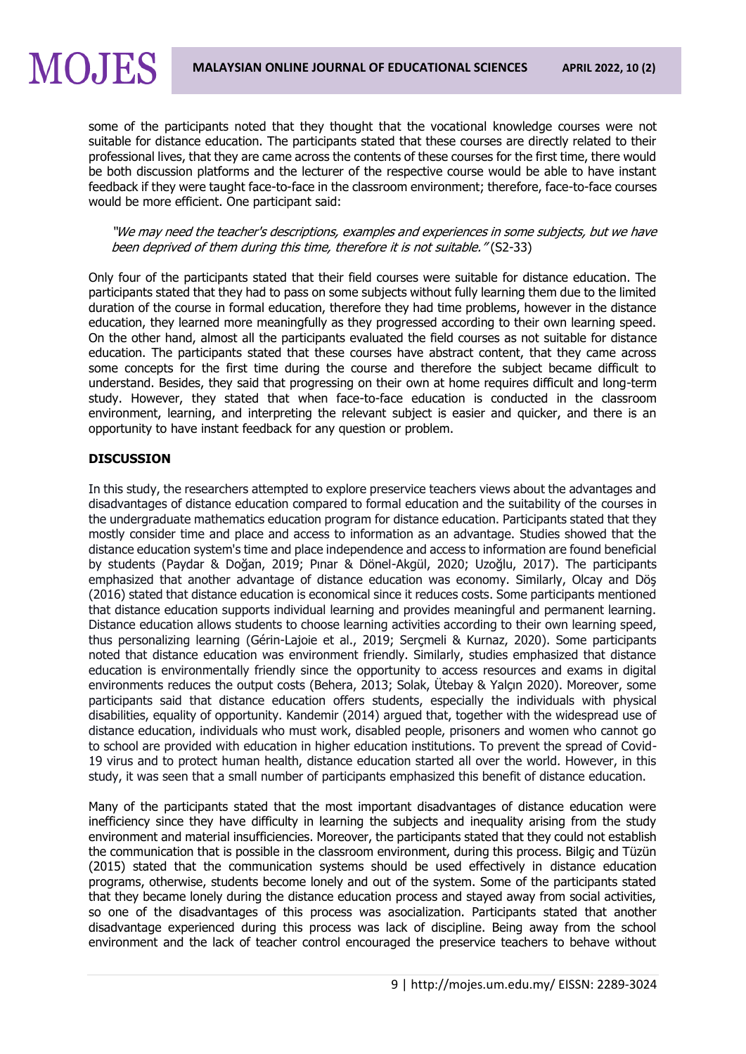## some of the participants noted that they thought that the vocational knowledge courses were not suitable for distance education. The participants stated that these courses are directly related to their professional lives, that they are came across the contents of these courses for the first time, there would be both discussion platforms and the lecturer of the respective course would be able to have instant feedback if they were taught face-to-face in the classroom environment; therefore, face-to-face courses would be more efficient. One participant said:

"We may need the teacher's descriptions, examples and experiences in some subjects, but we have been deprived of them during this time, therefore it is not suitable." (S2-33)

Only four of the participants stated that their field courses were suitable for distance education. The participants stated that they had to pass on some subjects without fully learning them due to the limited duration of the course in formal education, therefore they had time problems, however in the distance education, they learned more meaningfully as they progressed according to their own learning speed. On the other hand, almost all the participants evaluated the field courses as not suitable for distance education. The participants stated that these courses have abstract content, that they came across some concepts for the first time during the course and therefore the subject became difficult to understand. Besides, they said that progressing on their own at home requires difficult and long-term study. However, they stated that when face-to-face education is conducted in the classroom environment, learning, and interpreting the relevant subject is easier and quicker, and there is an opportunity to have instant feedback for any question or problem.

## **DISCUSSION**

**MOJES** 

In this study, the researchers attempted to explore preservice teachers views about the advantages and disadvantages of distance education compared to formal education and the suitability of the courses in the undergraduate mathematics education program for distance education. Participants stated that they mostly consider time and place and access to information as an advantage. Studies showed that the distance education system's time and place independence and access to information are found beneficial by students (Paydar & Doğan, 2019; Pınar & Dönel-Akgül, 2020; Uzoğlu, 2017). The participants emphasized that another advantage of distance education was economy. Similarly, Olcay and Döş (2016) stated that distance education is economical since it reduces costs. Some participants mentioned that distance education supports individual learning and provides meaningful and permanent learning. Distance education allows students to choose learning activities according to their own learning speed, thus personalizing learning (Gérin-Lajoie et al., 2019; Serçmeli & Kurnaz, 2020). Some participants noted that distance education was environment friendly. Similarly, studies emphasized that distance education is environmentally friendly since the opportunity to access resources and exams in digital environments reduces the output costs (Behera, 2013; Solak, Ütebay & Yalçın 2020). Moreover, some participants said that distance education offers students, especially the individuals with physical disabilities, equality of opportunity. Kandemir (2014) argued that, together with the widespread use of distance education, individuals who must work, disabled people, prisoners and women who cannot go to school are provided with education in higher education institutions. To prevent the spread of Covid-19 virus and to protect human health, distance education started all over the world. However, in this study, it was seen that a small number of participants emphasized this benefit of distance education.

Many of the participants stated that the most important disadvantages of distance education were inefficiency since they have difficulty in learning the subjects and inequality arising from the study environment and material insufficiencies. Moreover, the participants stated that they could not establish the communication that is possible in the classroom environment, during this process. Bilgiç and Tüzün (2015) stated that the communication systems should be used effectively in distance education programs, otherwise, students become lonely and out of the system. Some of the participants stated that they became lonely during the distance education process and stayed away from social activities, so one of the disadvantages of this process was asocialization. Participants stated that another disadvantage experienced during this process was lack of discipline. Being away from the school environment and the lack of teacher control encouraged the preservice teachers to behave without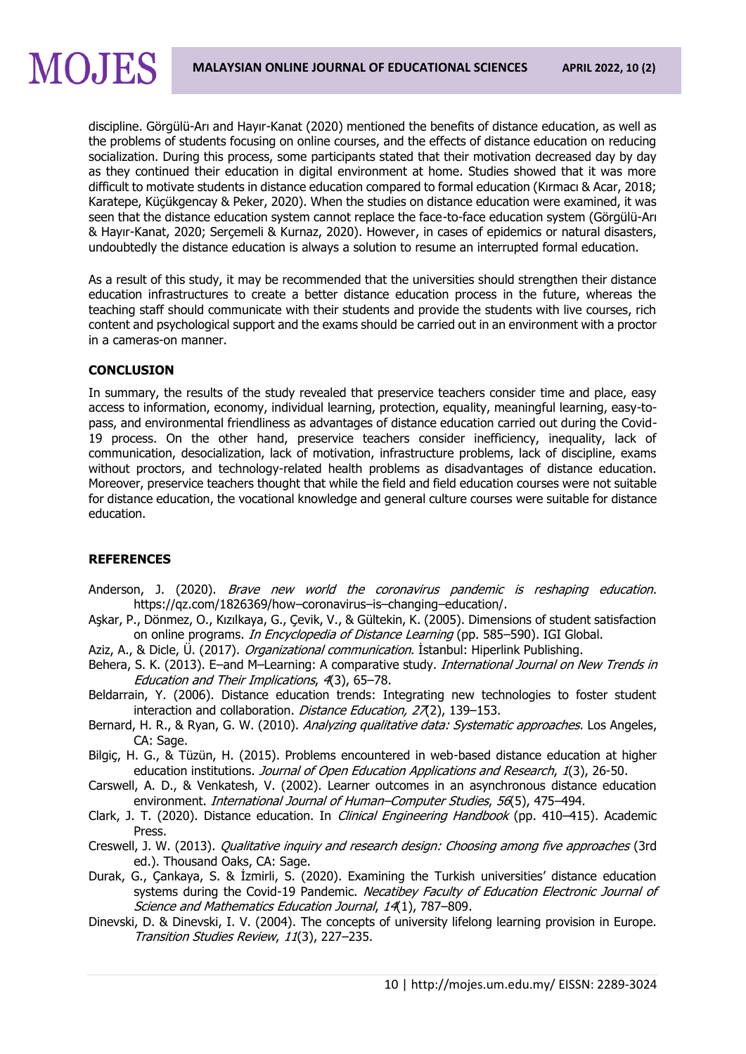discipline. Görgülü-Arı and Hayır-Kanat (2020) mentioned the benefits of distance education, as well as the problems of students focusing on online courses, and the effects of distance education on reducing socialization. During this process, some participants stated that their motivation decreased day by day as they continued their education in digital environment at home. Studies showed that it was more difficult to motivate students in distance education compared to formal education (Kırmacı & Acar, 2018; Karatepe, Küçükgencay & Peker, 2020). When the studies on distance education were examined, it was seen that the distance education system cannot replace the face-to-face education system (Görgülü-Arı & Hayır-Kanat, 2020; Serçemeli & Kurnaz, 2020). However, in cases of epidemics or natural disasters, undoubtedly the distance education is always a solution to resume an interrupted formal education.

As a result of this study, it may be recommended that the universities should strengthen their distance education infrastructures to create a better distance education process in the future, whereas the teaching staff should communicate with their students and provide the students with live courses, rich content and psychological support and the exams should be carried out in an environment with a proctor in a cameras-on manner.

#### **CONCLUSION**

MOJES

In summary, the results of the study revealed that preservice teachers consider time and place, easy access to information, economy, individual learning, protection, equality, meaningful learning, easy-topass, and environmental friendliness as advantages of distance education carried out during the Covid-19 process. On the other hand, preservice teachers consider inefficiency, inequality, lack of communication, desocialization, lack of motivation, infrastructure problems, lack of discipline, exams without proctors, and technology-related health problems as disadvantages of distance education. Moreover, preservice teachers thought that while the field and field education courses were not suitable for distance education, the vocational knowledge and general culture courses were suitable for distance education.

#### **REFERENCES**

- Anderson, J. (2020). Brave new world the coronavirus pandemic is reshaping education. [https://qz.com/1826369/how](https://qz.com/1826369/how–coronavirus–is–changing–education/)–coronavirus–is–changing–education/.
- Aşkar, P., Dönmez, O., Kızılkaya, G., Çevik, V., & Gültekin, K. (2005). Dimensions of student satisfaction on online programs. *In Encyclopedia of Distance Learning* (pp. 585–590). IGI Global.
- Aziz, A., & Dicle, Ü. (2017). *Organizational communication*. İstanbul: Hiperlink Publishing.
- Behera, S. K. (2013). E-and M-Learning: A comparative study. *International Journal on New Trends in* Education and Their Implications, 4(3), 65–78.
- Beldarrain, Y. (2006). Distance education trends: Integrating new technologies to foster student interaction and collaboration. Distance Education, 27(2), 139-153.
- Bernard, H. R., & Ryan, G. W. (2010). Analyzing qualitative data: Systematic approaches. Los Angeles, CA: Sage.
- Bilgiç, H. G., & Tüzün, H. (2015). Problems encountered in web-based distance education at higher education institutions. Journal of Open Education Applications and Research, 1(3), 26-50.
- Carswell, A. D., & Venkatesh, V. (2002). Learner outcomes in an asynchronous distance education environment. International Journal of Human–Computer Studies, 56(5), 475–494.
- Clark, J. T. (2020). Distance education. In *Clinical Engineering Handbook* (pp. 410–415). Academic Press.
- Creswell, J. W. (2013). *Oualitative inquiry and research design: Choosing among five approaches* (3rd ed.). Thousand Oaks, CA: Sage.
- Durak, G., Çankaya, S. & İzmirli, S. (2020). Examining the Turkish universities' distance education systems during the Covid-19 Pandemic. Necatibey Faculty of Education Electronic Journal of Science and Mathematics Education Journal, 14(1), 787–809.
- Dinevski, D. & Dinevski, I. V. (2004). The concepts of university lifelong learning provision in Europe. Transition Studies Review, 11(3), 227–235.